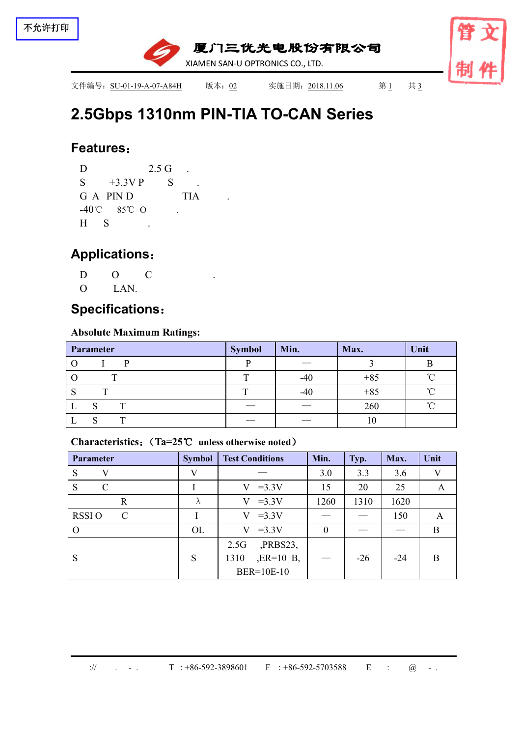

# **2.5Gbps 1310nm PIN-TIA TO-CAN [Series](file:///C:/Users/Administrator/AppData/Local/youdao/dict/Application/7.5.2.0/resultui/dict/?keyword=series)**

#### **Features**:

D 2.5 G .  $S$  +3.3V P  $S$  . G A PIN D TIA -40℃ 85℃ O .  $H S$ .

## **Applications**:

- $D$   $O$   $C$
- O LAN.

## **Specifications**:

#### **Absolute Maximum Ratings:**

| Parameter | <b>Symbol</b>                  | Min.                            | Max.  | Unit   |
|-----------|--------------------------------|---------------------------------|-------|--------|
|           |                                |                                 |       |        |
| m         | $\mathbf{r}$                   | $-40$                           | $+85$ | $\sim$ |
| m         |                                | $-40$                           | $+85$ | ∽      |
|           |                                | __                              | 260   |        |
|           | $\overbrace{\hspace{25mm}}^{}$ | $\hspace{0.1mm}-\hspace{0.1mm}$ |       |        |

#### **Characteristics**:(**Ta=25**℃ **unless otherwise noted**)

| <b>Parameter</b>              | <b>Symbol</b> | <b>Test Conditions</b> | Min.             | Typ.  | Max.  | Unit |
|-------------------------------|---------------|------------------------|------------------|-------|-------|------|
| S                             | $\mathbf{V}$  |                        | 3.0              | 3.3   | 3.6   | V    |
| S<br>$\mathcal{C}_{0}^{(n)}$  |               | $V = 3.3V$             | 15               | 20    | 25    | A    |
| $\mathbf R$                   | $\Lambda$     | $V = 3.3V$             | 1260             | 1310  | 1620  |      |
| <b>RSSIO</b><br>$\mathcal{C}$ |               | $V = 3.3V$             |                  |       | 150   | A    |
| $\Omega$                      | OL            | $=3.3V$<br>V           | $\boldsymbol{0}$ | __    |       | B    |
|                               |               | $PRBS23$ ,<br>2.5G     |                  |       |       |      |
| S                             | S             | $, ER=10$ B,<br>1310   |                  | $-26$ | $-24$ | B    |
|                               |               | BER=10E-10             |                  |       |       |      |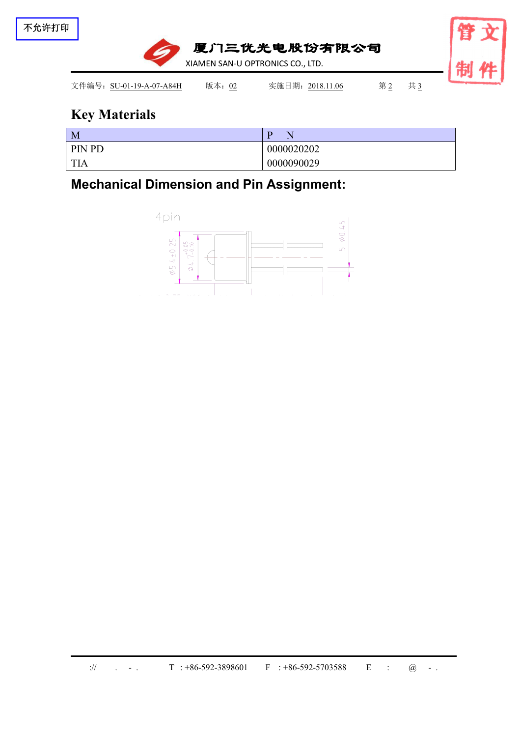

## **Key Materials**

| M             |            |
|---------------|------------|
| <b>PIN PD</b> | 0000020202 |
| <b>TIA</b>    | 0000090029 |

**Mechanical Dimension and Pin Assignment:**